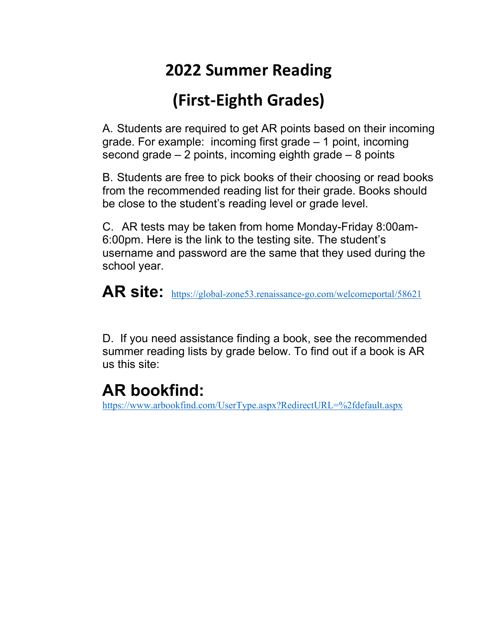# **2022 Summer Reading**

# **(First-Eighth Grades)**

A. Students are required to get AR points based on their incoming grade. For example: incoming first grade – 1 point, incoming second grade  $-2$  points, incoming eighth grade  $-8$  points

B. Students are free to pick books of their choosing or read books from the recommended reading list for their grade. Books should be close to the student's reading level or grade level.

C. AR tests may be taken from home Monday-Friday 8:00am-6:00pm. Here is the link to the testing site. The student's username and password are the same that they used during the school year.

**AR site:** <https://global-zone53.renaissance-go.com/welcomeportal/58621>

D. If you need assistance finding a book, see the recommended summer reading lists by grade below. To find out if a book is AR us this site:

## **AR bookfind:**

<https://www.arbookfind.com/UserType.aspx?RedirectURL=%2fdefault.aspx>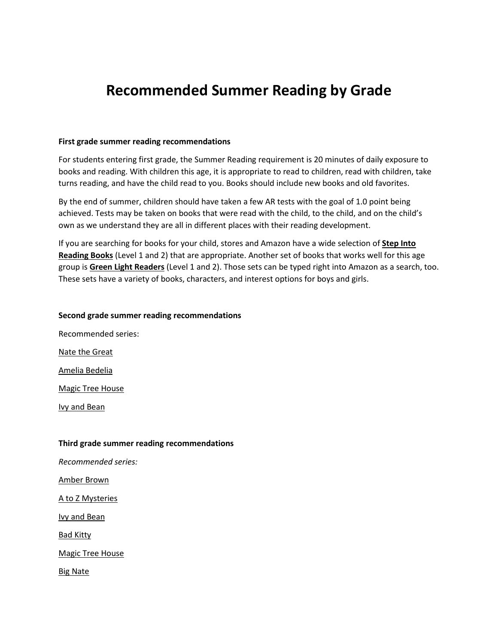### **Recommended Summer Reading by Grade**

#### **First grade summer reading recommendations**

For students entering first grade, the Summer Reading requirement is 20 minutes of daily exposure to books and reading. With children this age, it is appropriate to read to children, read with children, take turns reading, and have the child read to you. Books should include new books and old favorites.

By the end of summer, children should have taken a few AR tests with the goal of 1.0 point being achieved. Tests may be taken on books that were read with the child, to the child, and on the child's own as we understand they are all in different places with their reading development.

If you are searching for books for your child, stores and Amazon have a wide selection of **Step Into Reading Books** (Level 1 and 2) that are appropriate. Another set of books that works well for this age group is **Green Light Readers** (Level 1 and 2). Those sets can be typed right into Amazon as a search, too. These sets have a variety of books, characters, and interest options for boys and girls.

#### **Second grade summer reading recommendations**

Recommended series: Nate the Great Amelia Bedelia Magic Tree House Ivy and Bean

#### **Third grade summer reading recommendations**

*Recommended series:*

Amber Brown

A to Z Mysteries

Ivy and Bean

Bad Kitty

Magic Tree House

Big Nate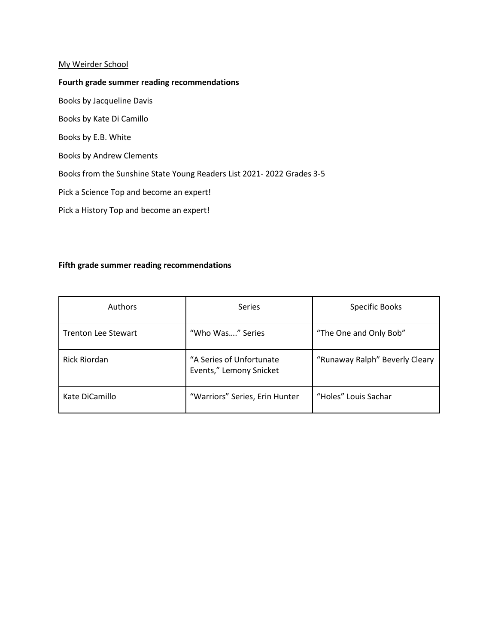#### My Weirder School

#### **Fourth grade summer reading recommendations**

Books by Jacqueline Davis

Books by Kate Di Camillo

Books by E.B. White

Books by Andrew Clements

Books from the Sunshine State Young Readers List 2021- 2022 Grades 3-5

Pick a Science Top and become an expert!

Pick a History Top and become an expert!

#### **Fifth grade summer reading recommendations**

| <b>Authors</b>             | <b>Series</b>                                       | Specific Books                 |
|----------------------------|-----------------------------------------------------|--------------------------------|
| <b>Trenton Lee Stewart</b> | "Who Was" Series                                    | "The One and Only Bob"         |
| <b>Rick Riordan</b>        | "A Series of Unfortunate<br>Events," Lemony Snicket | "Runaway Ralph" Beverly Cleary |
| Kate DiCamillo             | "Warriors" Series, Erin Hunter                      | "Holes" Louis Sachar           |